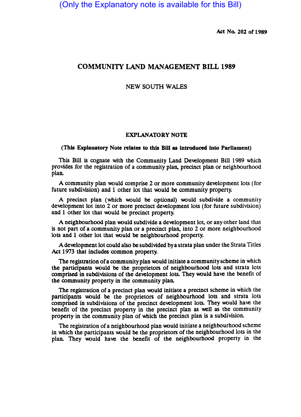Act No. 202 of 1989

# COMMUNITY LAND MANAGEMENT BILL 1989

## NEW SOUTH WALES

#### EXPLANATORY NOTE

#### (This Explanatory Note relates to this BlII as Introduced Into Parliament)

This Bill is cognate with the Community Land Development Bill 1989 which provides for the registration of a community plan, precinct plan or neighbourhood plan.

A community plan would comprise 2 or more community development lots (for future subdivision) and 1 other lot that would be community property.

A precinct plan (which would be optional) would subdivide a community development lot into 2 or more precinct development lots (for future subdivision) and 1 other lot that would be precinct property.

A neighbourhood plan would subdivide a development lot, or any other land that is not part of a community plan or a precinct plan, into 2 or more neighbourhood lots and 1 other lot that would be neighbourhood property.

A development lot could also be subdivided by a strata plan under the Strata Titles Act 1973 that includes common property.

The registration of a community plan would initiate a community scheme in which the participants would be the proprietors of neighbourhood lots and strata lots comprised in subdivisions of the development lots. They would have the benefit of the community property in the community plan.

The registration of a precinct plan would initiate a precinct scheme in which the participants would be the proprietors of neighbourhood lots and strata lots comprised in subdivisions of the precinct development lots. They would have the benefit of the precinct property in the precinct plan as well as the community property in the community plan of which the precinct plan is a subdivision.

The registration of a neighbourhood plan would initiate a neighbourhood scheme in which the participants would be the proprietors of the neighbourhood lots in the plan. They \\Quid have the benefit of the neighbourhood property in the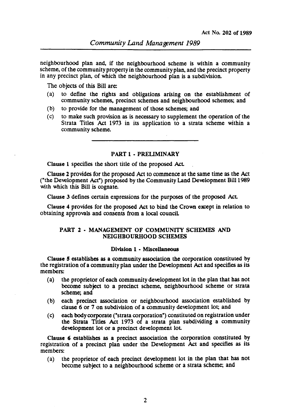neighbourhood plan and, if the neighbourhood scheme is within a community scheme, of the community property in the community plan, and the precinct property in any precinct plan, of which the neighbourhood plan is a subdivision.

The objects of this Bill are:

- (a) to define the rights and obligations arising on the establishment of community schemes, precinct schemes and neighbourhood schemes; and
- (b) to provide for the management of those schemes; and
- (c) to make such provision as is necessary to supplement the operation of the Strata Titles Act 1973 in its application to a strata scheme within a community scheme.

PART 1 - PRELIMINARY

Clause 1 specifies the short title of the proposed Act.

Clause 2 provides for the proposed Act to commence at the same time as the Act ("the Development Act") proposed by the Community Land Development Bill 1989 with which this Bill is cognate.

Clause 3 defines certain expressions for the purposes of the proposed Act.

Clause 4 provides for the proposed Act to bind the Crown except in relation to obtaining approvals and consents from a local counciL

## PART 2 • MANAGEMENT OF COMMUNITY SCHEMES AND NEIGHBOURHOOD SCHEMES

#### Division 1 • Miscellaneous

Clause *S* establishes as a community association the corporation constituted by the registration of a community plan under the Development Act and specifies as its members:

- (a) the proprietor of each community development lot in the plan that has not become subject to a precinct scheme, neighbourhood scheme or strata scheme; and
- (b) each precinct association or neighbourhood association established by clause  $6$  or  $7$  on subdivision of a community development lot; and
- (c) each body corporate ("strata corporation") constituted on registration under the Strata Titles Act 1973 of a strata plan subdividing a community development lot or a precinct development lot.

Clause 6 establishes as a precinct association the corporation constituted by registration of a precinct plan under the Development Act and specifies as its members:

(a) the proprietor of each precinct development lot in the plan that has not become subject to a neighbourhood scheme or a strata scheme; and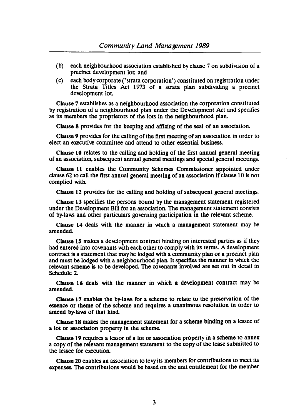- (b) each neighbourhood association established by clause 7 on subdivision of a precinct. development lot; and
- (c) each body corporate ("strata corporation") constituted on registration under the Strata Titles Act 1973 of a strata plan subdividing a precinct development lot.

Clause 7 establishes as a neighbourhood association the corporation constituted by registration of a neighbourhood plan under the Development Act and specifies as its members the proprietors of the lots in the neighbourhood plan.

Clause 8 provides for the keeping and affixing of the seal of an association.

Clause 9 provides for the calling of the first meeting of an association in order to elect an executive committee and attend to other essential business.

Clause 10 relates to the calling and holding of the first annual general meeting of an association. subsequent annual general meetings and special general meetings.

Clause 11 enables the Community Schemes Commissioner appointed under clause 62 to call the first annual general meeting of an association if clause 10 is not complied with.

Clause 12 provides for the calling and holding of subsequent general meetings.

Clause 13 specifies the persons bound by the management statement registered under the Development Bill for an association. The management statement consists of by-laws and other particulars governing participation in the relevant scheme.

Clause 14 deals with the manner in which a management statement may be amended.

Clause 15 makes a development contract binding on interested parties as if they had entered into covenants with each other to comply with its terms. A development contract is a statement that may be lodged with a community plan or a precinct plan and must be lodged with a neighbourhood plan. It specifies the manner in which the relevant scheme is to be developed. The covenants inwlved are set out in detail in Schedule 2-

Clause 16 deals with the manner in which a development contract may be amended.

Clause 17 enables the by-laws for a scheme to relate to the preservation of the essence or theme of the scheme and requires a unanimous resolution in order to amend by-laws of that kind.

Clause 18 makes the management statement for a scheme binding on a lessee of a lot or association property in the scheme.

Clause 19 requires a lessor of a lot or association property in a scheme to annex a copy of the relevant management statement to the copy of the lease submitted to the lessee for execution.

Clause 20 enables an association to levy its members for contributions to meet its expenses. The contributions would be based on the unit entitlement for the member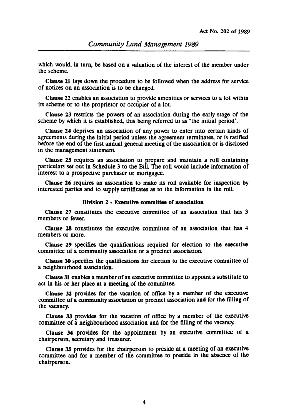which would, in turn, be based on a valuation of the interest of the member under the scheme.

Clause 11 lays down the procedure to be followed when the address for service of notices on an association is to be changed.

Clause 22 enables an association to provide amenities or services to a lot within its scheme or to the proprietor or occupier of a lot

Clause 23 restricts the powers of an association during the early stage of the scheme by which it is established, this being referred to as "the initial period".

Clause 14 deprives an association of any power to enter into certain kinds of agreements during the initial period unless the agreement terminates, or is ratified before the end of the first annual general meeting of the association or is disclosed in the management statement

Clause 15 requires an association to prepare and maintain a roll containing particulars set out in Schedule 3 to the Bill. The roll would include information of interest to a prospective purchaser or mortgagee.

Clause 26 requires an association to make its roll available for inspection by interested parties and to supply certificates as to the information in the roll

## Division 2 • Executive committee of association

Clause 27 constitutes the executive committee of an association that has 3 members or fewer.

Clause 28 constitutes the executive committee of an association that has 4 members or more.

Clause 19 specifies the qualifications required for election to the executive committee of a community association or a precinct association.

Clause 30 specifies the qualifications for election to the executive committee of a neighbourhood association.

Clause 31 enables a member of an executive committee to appoint a substitute to act in his or her place at a meeting of the committee.

Clause 32 provides for the vacation of office by a member of the executive committee of a community association or precinct association and for the filling of the vacancy.

Clause 33 provides for the vacation of office by a member of the executive committee of a neighbourhood association and for the filling of the vacancy.

Clause 34 provides for the appointment by an executive committee of a chairperson, secretary and treasurer.

Clause 35 provides for the chairperson to preside at a meeting of an executive committee and for a member of the committee to preside in the absence of the chairperson.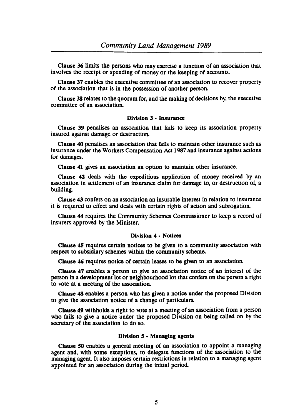Clause 36 limits the persons who may exercise a function of an association that involves the receipt or spending of money or the keeping of accounts.

Clause 37 enables the executive committee of an association to recover property of the association that is in the possession of another person.

Clause 38 relates to the quorum for, and the making of decisions by, the executive committee of an association.

## Division 3 • Insurance

Clause 39 penalises an association that fails to keep its association property insured against damage or destruction.

Clause 40 penalises an association that fails to maintain other insurance such as insurance under the Workers Compensation Act 1987 and insurance against actions for damages.

Clause 41 gives an association an option to maintain other insurance.

Clause 42 deals with the expeditious application of money received by an association in settlement of an insurance claim for damage to, or destruction of, a building.

Clause 43 confers on an association an insurable interest in relation to insurance it is required to effect and deals with certain rights of action and subrogation.

Clause 44 requires the Community Schemes Commissioner to keep a record of insurers approved by the Minister.

## Division 4 • Notices

Clause 4S requires certain notices to be given to a community association with respect to subsidiary schemes within the community scheme.

Clause 46 requires notice of certain leases to be given to an association.

Clause 47 enables a person to give an association notice of an interest of the person in a development lot or neighbourhood lot that confers on the person a right to vote at a meeting of the association.

Clause 48 enables a person who has given a notice under the proposed Division to give the association notice of a change of particulars.

Clause 49 withholds a right to vote at a meeting of an association from a person who fails to give a notice under the proposed Division on being called on by the secretary of the association to do so.

## Division 5 • Managing agents

Clause SO enables a general meeting of an association to appoint a managing agent and, with some exceptions, to delegate functions of the association to the managing agent It also imposes certain restrictions in relation to a managing agent appointed for an association during the initial period.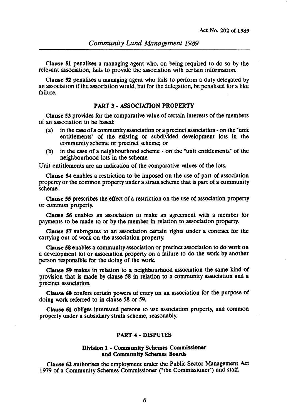Clause 51 penalises a managing agent who, on being required to do so by the relevant association, fails to provide the association with certain information.

Clause 52 penalises a managing agent who fails to perform a duty delegated by an association if the association would, but for the delegation, be penalised for a like failure.

### PART 3· ASSOCIATION PROPERTY

Clause 53 provides for the comparative value of certain interests of the members of an association to be based:

- (a) in the case of a community association or a precinct association on the "unit entitlements" of the existing or subdivided development lots in the community scheme or precinct scheme; or
- (b) in the case of a neighbourhood scheme on the "unit entitlements" of the neighbourhood lots in the scheme.

Unit entitlements are an indication of the comparative values of the lots.

Clause 54 enables a restriction to be imposed on the use of part of association property or the common property under a strata scheme that is part of a community scheme.

Clause SS prescribes the effect of a restriction on the use of association property or common property.

Clause 56 enables an association to make an agreement with a member for payments to be made to or by the member in relation to association property.

Clause 57 sUbrogates to an association certain rights under a contract for the carrying out of work on the association property.

Clause 58 enables a community association or precinct association to do work on a development lot or association property on a failure to do the work by another person responsible for the doing of the work.

Clause 59 makes in relation to a neighbourhood association the same kind of provision that is made by clause 58 in relation to a community association and a precinct association.

Clause 60 confers certain powers of entry on an association for the purpose of doing work referred to in clause 58 or 59.

Clause 61 obliges interested persons to use association property, and common property under a subsidiary strata scheme, reasonably.

#### PART 4 • DISPUTES

#### Division 1 • Community Schemes Commissioner and Community Schemes Boards

Clause 62 authorises the employment under the Public Sector Management Act 1979 of a Community Schemes Commissioner ("the Commissioner") and staff.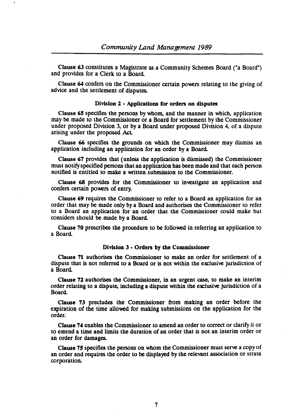Clause 63 constitutes a Magistrate as a Community Schemes Board ("a Board") and provides for a Clerk to a Board

Clause 64 confers on the Commissioner certain powers relating to the giving of advice and the settlement of disputes.

### Division 2 - Applications for orders on disputes

Clause 65 specifies the persons by whom, and the manner in which, application may be made to the Commissioner or a Board for settlement by the Commissioner under proposed Division 3, or by a Board under proposed Division 4, of a dispute arising under the proposed Act

Clause 66 specifies the grounds on which the Commissioner may dismiss an application including an application for an order by a Board

Clause 67 provides that (unless the application is dismissed) the Commissioner must notify specified persons that an application has been made and that each person notified is entitled to make a written submission to the Commissioner.

Clause 68 provides for the Commissioner to investigate an application and confers certain powers of entry.

Clause 69 requires the Commissioner to refer to a Board an application for an order that may be made only by a Board and authorises the Commissioner to refer to a Board an application for an order that the Commissioner could make but considers should be made by a Board

Clause 70 prescribes the procedure to be followed in referring an application to a Board

#### Division 3· Orders by the Commissioner

Clause 71 authorises the Commissioner to make an order for settlement of a dispute that is not referred to a Board or is not within the exclusive jurisdiction of a Board

Clause 72 authorises the Commissioner, in an urgent case, to make an interim order relating to a dispute, including a dispute within the exciusive jurisdiction of a Board

Clause 73 precludes the Commissioner from making an order before the expiration of the time allowed for making submissions on the application for the order.

Clause 74 enables the Commissioner to amend an order to correct or clarify it or to extend a time and limits the duration of an order that is not an interim order or an order for damages.

Clause 75 specifies the persons on whom the Commissioner must serve a copy of an order and requires the order to be displayed by the relevant association or strata corporation.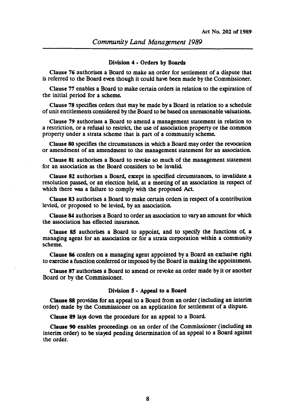#### Division 4 • Orders by Boards

Clause 76 authorises a Board to make an order for settlement of a dispute that is referred to the Board even though it could have been made by the Commissioner.

Clause 77 enables a Board to make certain orders in relation to the expiration of the initial period for a scheme.

Clause 78 specifies orders that may be made by a Board in relation to a schedule of unit entitlements considered by the Board to be based on unreasonable valuations.

Clause 79 authorises a Board to amend a management statement in relation to a restriction, or a refusal to restrict, the use of association property or the common property under a strata scheme that is part of a community scheme.

Clause 80 specifies the circumstances in which a Board may order the rewcation or amendment of an amendment to the management statement for an association.

Clause 81 authorises a Board to rewke so much of the management statement for an association as the Board considers to be invalid.

Clause 82 authorises a Board, except in specified circumstances, to invalidate a resolution passed, or an election held, at a meeting of an association in respect of which there was a failure to comply with the proposed Act.

Clause 83 authorises a Board to make certain orders in respect of a contribution levied, or proposed to be levied, by an association.

Clause 84 authorises a Board to order an association to vary an amount for which the association has effected insurance.

Clause  $85$  authorises a Board to appoint, and to specify the functions of, a managing agent for an association or for a strata corporation within a community scheme.

Clause 86 confers on a managing agent appointed by a Board an exclusive right to exercise a function conferred or imposed by the Board in making the appointment

Clause 87 authorises a Board to amend or rewke an order made by it or another Board or by the Commissioner.

#### Division *5* • Appeal to a Board

Clause 88 provides for an appeal to a Board from an order (including an interim order) made by the Commissioner on an application for settlement of a dispute.

Clause 89 lays down the procedure for an appeal to a Board.

Clause 90 enables proceedings on an order of the Commissioner (including an interim order) to be stayed pending determination of an appeal to a Board against the order.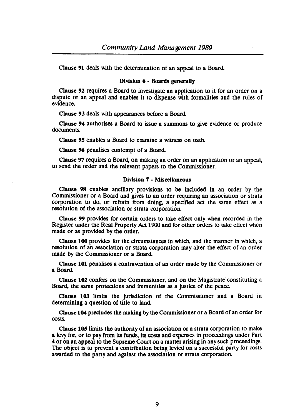Clause 91 deals with the determination of an appeal to a Board.

#### Division 6 • Boards generally

Clause 92 requires a Board to investigate an application to it for an order on a dispute or an appeal and enables it to dispense with formalities and the rules of evidence.

Clause 93 deals with appearances before a Board.

Clause 94 authorises a Board to issue a summons to give evidence or produce documents.

Clause 95 enables a Board to examine a witness on oath.

Clause 96 penalises contempt of a Board.

Clause 97 requires a Board, on making an order on an application or an appeal, to send the order and the relevant papers to the Commissioner.

## Division 7 • Miscellaneous

Clause 98 enables ancillary provisions to be included in an order by the Commissioner or a Board and gives to an order requiring an association or strata corporation to do, or refrain from doing. a specified act the same effect as a resolution of the association or strata corporation.

Clause 99 provides for certain orders to take effect only when recorded in the Register under the Real Property Act 1900 and for other orders to take effect when made or as provided by the order.

Clause 100 provides for the circumstances in which, and the manner in which, a resolution of an association or strata corporation may alter the effect of an order made by the Commissioner or a Board.

Clause 101 penalises a contravention of an order made by the Commissioner or a Board.

Clause 102 confers on the Commissioner, and on the Magistrate constituting a Board, the same protections and immunities as a justice of the peace.

Clause 103 limits the jurisdiction of the Commissioner and a Board in determining a question of title to land.

Clause 104 precludes the making by the Commissioner or a Board of an order for costs.

Clause 105 limits the authority of an association or a strata corporation to make a levy for, or to pay from its funds, its costs and expenses in proceedings under Part 4 or on an appeal to the Supreme Court on a matter arising in any such proceedings. The object is to prevent a contribution being levied on a successful party for costs awarded to the party and against the association or strata corporation.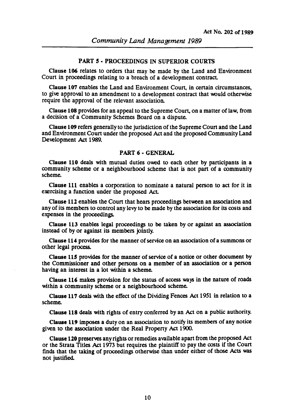#### PART 5· PROCEEDINGS IN SUPERIOR COURTS

Clause 106 relates to orders that may be made by the Land and Environment Court in proceedings relating to a breach of a development contract.

Clause 107 enables the Land and Environment Court, in certain circumstances, to give approval to an amendment to a development contract that would otherwise require the approval of the relevant association.

Clause 108 provides for an appeal to the Supreme Court, on a matter of law, from a decision of a Community Schemes Board on a dispute.

Clause 109 refers generally to the jurisdiction of the Supreme Coun and the Land and Environment Court under the proposed Act and the proposed Community Land Development Act 1989.

## PART 6· GENERAL

Clause 110 deals with mutual duties owed to each other by panicipants in a community scheme or a neighbourhood scheme that is not part of a community scheme.

Clause 111 enables a corporation to nominate a natural person to act for it in exercising a function under the proposed Act.

Clause 112 enables the Court that hears proceedings between an association and any of its members to control any levy to be made by the association for its costs and expenses in the proceedings.

Clause 113 enables legal proceedings to be taken by or against an association instead of by or against its members jointly.

Clause 114 provides for the manner of service on an association of a summons or other legal process.

Clause 115 provides for the manner of service of a notice or other document by the Commissioner and other persons on a member of an association or a person having an interest in a lot within a scheme.

Clause 116 makes provision for the status of access ways in the nature of roads within a community scheme or a neighbourhood scheme.

Clause 117 deals with the effect of the Dividing Fences Act 1951 in relation to a scheme.

Clause 118 deals with rights of entry conferred by an Act on a public authority.

Clause 119 imposes a duty on an association to notify its members of any notice given to the association under the Real Propeny Act 1900.

Clause 120 preserves any rights or remedies available apart from the proposed Act or the Strata Titles Act 1973 but requires the plaintiff to pay the costs if the Coun finds that the taking of proceedings otherwise than under either of those Acts was not justified.